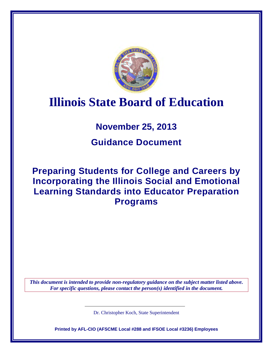

# **Illinois State Board of Education**

# **November 25, 2013**

# **Guidance Document**

# **Preparing Students for College and Careers by Incorporating the Illinois Social and Emotional Learning Standards into Educator Preparation Programs**

*This document is intended to provide non-regulatory guidance on the subject matter listed above. For specific questions, please contact the person(s) identified in the document.*

Dr. Christopher Koch, State Superintendent

**Printed by AFL-CIO (AFSCME Local #288 and IFSOE Local #3236) Employees**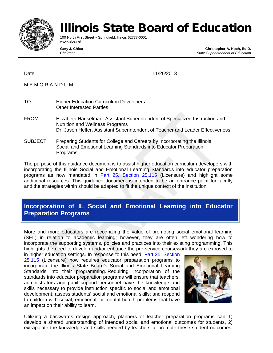

# Illinois State Board of Education

100 North First Street • Springfield, Illinois 62777-0001 www.isbe.net

**Gery J. Chico Christopher A. Koch, Ed.D.**  *Chairman State Superintendent of Education* 

Date: 11/26/2013

### M E M O R A N D U M

- TO: Higher Education Curriculum Developers Other Interested Parties
- FROM: Elizabeth Hanselman, Assistant Superintendent of Specialized Instruction and Nutrition and Wellness Programs Dr. Jason Helfer, Assistant Superintendent of Teacher and Leader Effectiveness
- SUBJECT: Preparing Students for College and Careers by Incorporating the Illinois Social and Emotional Learning Standards into Educator Preparation Programs

The purpose of this guidance document is to assist higher education curriculum developers with incorporating the Illinois Social and Emotional Learning Standards into educator preparation programs as now mandated in Part 25, Section 25.115 (Licensure) and highlight some additional resources. This guidance document is intended to be an entrance point for faculty and the strategies within should be adapted to fit the unique context of the institution.

## **Incorporation of IL Social and Emotional Learning into Educator Preparation Programs**

More and more educators are recognizing the value of promoting social emotional learning (SEL) in relation to academic learning; however, they are often left wondering how to incorporate the supporting systems, policies and practices into their existing programming. This highlights the need to develop and/or enhance the pre-service coursework they are exposed to

in higher education settings. In response to this need, Part 25, Section 25.115 (Licensure) now requires educator preparation programs to incorporate the Illinois State Board's Social and Emotional Learning Standards into their programming. Requiring incorporation of the standards into educator preparation programs will ensure that teachers, administrators and pupil support personnel have the knowledge and skills necessary to provide instruction specific to social and emotional development; assess students' social and emotional skills; and respond to children with social, emotional, or mental health problems that have an impact on their ability to learn.



Utilizing a backwards design approach, planners of teacher preparation programs can 1) develop a shared understanding of intended social and emotional outcomes for students, 2) extrapolate the knowledge and skills needed by teachers to promote these student outcomes,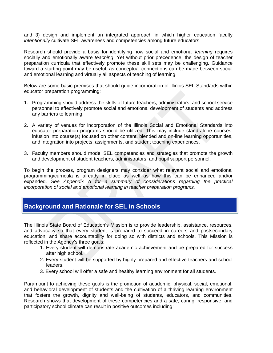and 3) design and implement an integrated approach in which higher education faculty *intentionally* cultivate SEL awareness and competencies among future educators.

Research should provide a basis for identifying how social and emotional *learning* requires socially and emotionally aware *teaching*. Yet without prior precedence, the design of teacher preparation curricula that effectively promote these skill sets may be challenging. Guidance toward a starting point may be useful, as conceptual connections can be made between social and emotional learning and virtually all aspects of teaching of learning.

Below are some basic premises that should guide incorporation of Illinois SEL Standards within educator preparation programming:

- 1. Programming should address the skills of future teachers, administrators, and school service personnel to effectively promote social and emotional development of students and address any barriers to learning.
- 2. A variety of venues for incorporation of the Illinois Social and Emotional Standards into educator preparation programs should be utilized. This may include stand-alone courses, infusion into course(s) focused on other content, blended and on-line learning opportunities, and integration into projects, assignments, and student teaching experiences.
- 3. Faculty members should model SEL competencies and strategies that promote the growth and development of student teachers, administrators, and pupil support personnel.

To begin the process, program designers may consider what relevant social and emotional programming/curricula is already in place as well as how this can be enhanced and/or expanded. *See Appendix A for a summary of considerations regarding the practical incorporation of social and emotional learning in teacher preparation programs.*

## **Background and Rationale for SEL in Schools**

The Illinois State Board of Education's Mission is to provide leadership, assistance, resources, and advocacy so that every student is prepared to succeed in careers and postsecondary education, and share accountability for doing so with districts and schools. This Mission is reflected in the Agency's three goals:

- 1. Every student will demonstrate academic achievement and be prepared for success after high school.
- 2. Every student will be supported by highly prepared and effective teachers and school leaders.
- 3. Every school will offer a safe and healthy learning environment for all students.

Paramount to achieving these goals is the promotion of academic, physical, social, emotional, and behavioral development of students and the cultivation of a thriving learning environment that fosters the growth, dignity and well-being of students, educators, and communities. Research shows that development of these competencies and a safe, caring, responsive, and participatory school climate can result in positive outcomes including: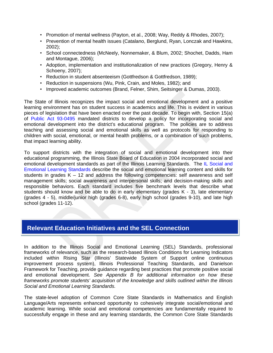- Promotion of mental wellness (Payton, et al., 2008; Way, Reddy & Rhodes, 2007);
- Prevention of mental health issues (Catalano, Berglund, Ryan, Lonczak and Hawkins, 2002);
- School connectedness (McNeely, Nonnemaker, & Blum, 2002; Shochet, Dadds, Ham and Montague, 2006);
- Adoption, implementation and institutionalization of new practices (Gregory, Henry & Schoeny, 2007);
- Reduction in student absenteeism (Gottfredson & Gottfredson, 1989);
- Reduction in suspensions (Wu, Pink, Crain, and Moles, 1982); and
- Improved academic outcomes (Brand, Felner, Shim, Seitsinger & Dumas, 2003).

The State of Illinois recognizes the impact social and emotional development and a positive learning environment has on student success in academics and life. This is evident in various pieces of legislation that have been enacted over the past decade. To begin with, Section 15(a) of [Public Act 93-0495](http://www.ilga.gov/legislation/publicacts/fulltext.asp?Name=093-0495&GA=93) mandated districts to develop a policy for incorporating social and emotional development into the district's educational program. The policies are to address teaching and assessing social and emotional skills as well as protocols for responding to children with social, emotional, or mental health problems, or a combination of such problems, that impact learning ability.

To support districts with the integration of social and emotional development into their educational programming, the Illinois State Board of Education in 2004 incorporated social and emotional development standards as part of the Illinois Learning Standards. The [IL Social and](http://www.isbe.net/ils/social_emotional/standards.htm)  [Emotional Learning Standards](http://www.isbe.net/ils/social_emotional/standards.htm) describe the social and emotional learning content and skills for students in grades  $K - 12$  and address the following competencies: self awareness and self management skills; social awareness and interpersonal skills; and decision-making skills and responsible behaviors. Each standard includes five benchmark levels that describe what students should know and be able to do in early elementary (grades K - 3), late elementary (grades 4 - 5), middle/junior high (grades 6-8), early high school (grades 9-10), and late high school (grades 11-12).

## **Relevant Education Initiatives and the SEL Connection**

In addition to the Illinois Social and Emotional Learning (SEL) Standards, professional frameworks of relevance, such as the research-based Illinois Conditions for Learning Indicators included within Rising Star (Illinois' Statewide System of Support online continuous improvement process system), Illinois Professional Teaching Standards, and Danielson Framework for Teaching, provide guidance regarding best practices that promote positive social and emotional development. *See Appendix B for additional information on how these frameworks promote students' acquisition of the knowledge and skills outlined within the Illinois Social and Emotional Learning Standards.* 

The state-level adoption of Common Core State Standards in Mathematics and English Language/Arts represents enhanced opportunity to cohesively integrate social/emotional and academic learning. While social and emotional competencies are fundamentally required to successfully engage in these and any learning standards, the Common Core State Standards